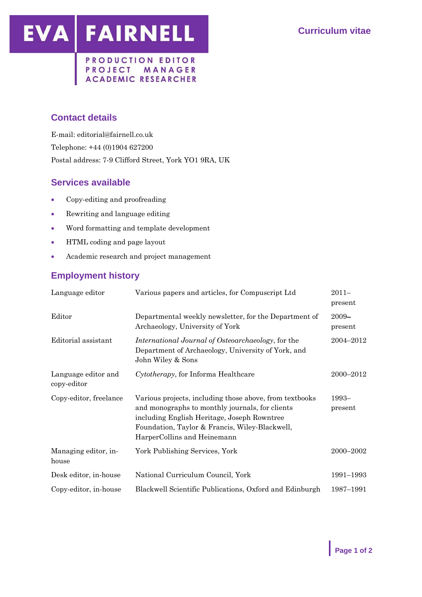EVA FAIRNELL

#### PRODUCTION EDITOR PROJECT MANAGER **ACADEMIC RESEARCHER**

## **Contact details**

E-mail: editorial@fairnell.co.uk Telephone: +44 (0)1904 627200 Postal address: 7-9 Clifford Street, York YO1 9RA, UK

## **Services available**

- Copy-editing and proofreading
- Rewriting and language editing
- Word formatting and template development
- HTML coding and page layout
- Academic research and project management

# **Employment history**

| Language editor                    | Various papers and articles, for Compuscript Ltd                                                                                                                                                                                           | $2011 -$<br>present |
|------------------------------------|--------------------------------------------------------------------------------------------------------------------------------------------------------------------------------------------------------------------------------------------|---------------------|
| Editor                             | Departmental weekly newsletter, for the Department of<br>Archaeology, University of York                                                                                                                                                   | 2009-<br>present    |
| Editorial assistant                | International Journal of Osteoarchaeology, for the<br>Department of Archaeology, University of York, and<br>John Wiley & Sons                                                                                                              | 2004–2012           |
| Language editor and<br>copy-editor | Cytotherapy, for Informa Healthcare                                                                                                                                                                                                        | 2000–2012           |
| Copy-editor, freelance             | Various projects, including those above, from textbooks<br>and monographs to monthly journals, for clients<br>including English Heritage, Joseph Rowntree<br>Foundation, Taylor & Francis, Wiley-Blackwell,<br>HarperCollins and Heinemann | 1993-<br>present    |
| Managing editor, in-<br>house      | York Publishing Services, York                                                                                                                                                                                                             | 2000-2002           |
| Desk editor, in-house              | National Curriculum Council, York                                                                                                                                                                                                          | 1991–1993           |
| Copy-editor, in-house              | Blackwell Scientific Publications, Oxford and Edinburgh                                                                                                                                                                                    | 1987–1991           |